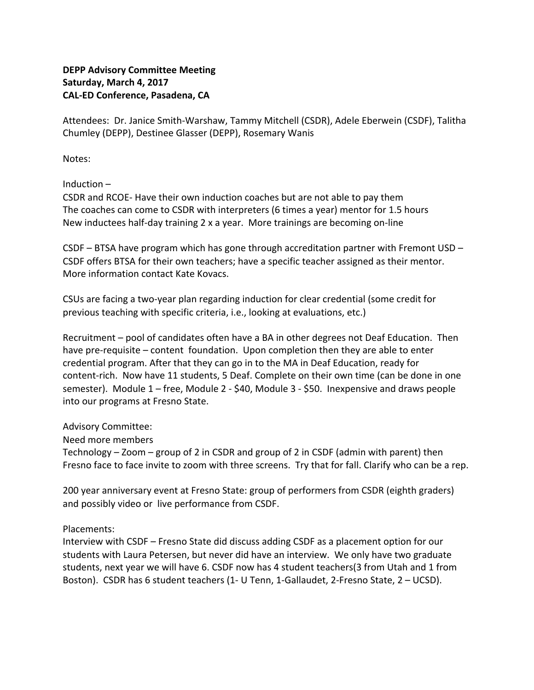## **DEPP Advisory Committee Meeting Saturday, March 4, 2017 CAL-ED Conference, Pasadena, CA**

Attendees: Dr. Janice Smith-Warshaw, Tammy Mitchell (CSDR), Adele Eberwein (CSDF), Talitha Chumley (DEPP), Destinee Glasser (DEPP), Rosemary Wanis

Notes:

Induction –

CSDR and RCOE- Have their own induction coaches but are not able to pay them The coaches can come to CSDR with interpreters (6 times a year) mentor for 1.5 hours New inductees half-day training 2 x a year. More trainings are becoming on-line

CSDF – BTSA have program which has gone through accreditation partner with Fremont USD – CSDF offers BTSA for their own teachers; have a specific teacher assigned as their mentor. More information contact Kate Kovacs.

CSUs are facing a two-year plan regarding induction for clear credential (some credit for previous teaching with specific criteria, i.e., looking at evaluations, etc.)

Recruitment – pool of candidates often have a BA in other degrees not Deaf Education. Then have pre-requisite – content foundation. Upon completion then they are able to enter credential program. After that they can go in to the MA in Deaf Education, ready for content-rich. Now have 11 students, 5 Deaf. Complete on their own time (can be done in one semester). Module 1 – free, Module 2 - \$40, Module 3 - \$50. Inexpensive and draws people into our programs at Fresno State.

Advisory Committee:

Need more members

Technology – Zoom – group of 2 in CSDR and group of 2 in CSDF (admin with parent) then Fresno face to face invite to zoom with three screens. Try that for fall. Clarify who can be a rep.

200 year anniversary event at Fresno State: group of performers from CSDR (eighth graders) and possibly video or live performance from CSDF.

Placements:

Interview with CSDF – Fresno State did discuss adding CSDF as a placement option for our students with Laura Petersen, but never did have an interview. We only have two graduate students, next year we will have 6. CSDF now has 4 student teachers(3 from Utah and 1 from Boston). CSDR has 6 student teachers (1- U Tenn, 1-Gallaudet, 2-Fresno State, 2 – UCSD).